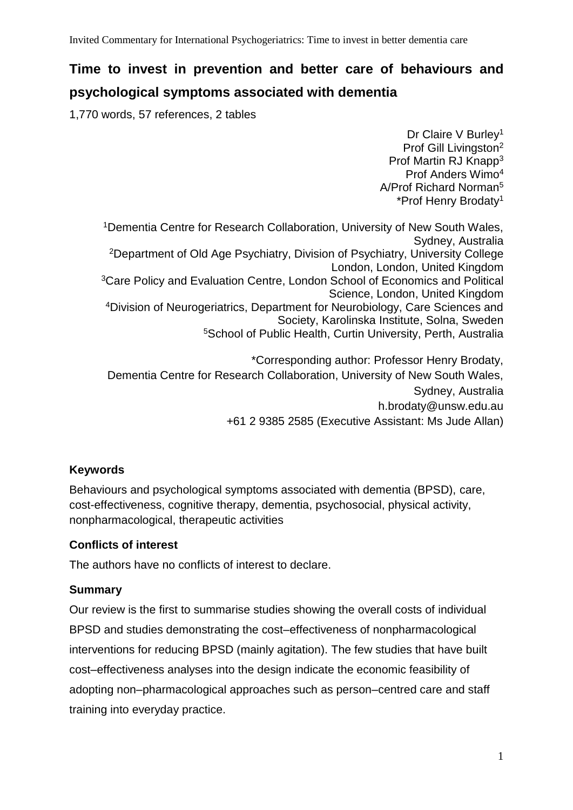# **Time to invest in prevention and better care of behaviours and**

## **psychological symptoms associated with dementia**

1,770 words, 57 references, 2 tables

Dr Claire V Burley<sup>1</sup> Prof Gill Livingston<sup>2</sup> Prof Martin RJ Knapp<sup>3</sup> Prof Anders Wimo<sup>4</sup> A/Prof Richard Norman<sup>5</sup> \*Prof Henry Brodaty<sup>1</sup>

<sup>1</sup> Dementia Centre for Research Collaboration, University of New South Wales, Sydney, Australia <sup>2</sup>Department of Old Age Psychiatry, Division of Psychiatry, University College London, London, United Kingdom <sup>3</sup>Care Policy and Evaluation Centre, London School of Economics and Political Science, London, United Kingdom <sup>4</sup>Division of Neurogeriatrics, Department for Neurobiology, Care Sciences and Society, Karolinska Institute, Solna, Sweden <sup>5</sup>School of Public Health, Curtin University, Perth, Australia

\*Corresponding author: Professor Henry Brodaty, Dementia Centre for Research Collaboration, University of New South Wales, Sydney, Australia [h.brodaty@unsw.edu.au](mailto:h.brodaty@unsw.edu.au) +61 2 9385 2585 (Executive Assistant: Ms Jude Allan)

## **Keywords**

Behaviours and psychological symptoms associated with dementia (BPSD), care, cost-effectiveness, cognitive therapy, dementia, psychosocial, physical activity, nonpharmacological, therapeutic activities

#### **Conflicts of interest**

The authors have no conflicts of interest to declare.

## **Summary**

Our review is the first to summarise studies showing the overall costs of individual BPSD and studies demonstrating the cost–effectiveness of nonpharmacological interventions for reducing BPSD (mainly agitation). The few studies that have built cost–effectiveness analyses into the design indicate the economic feasibility of adopting non–pharmacological approaches such as person–centred care and staff training into everyday practice.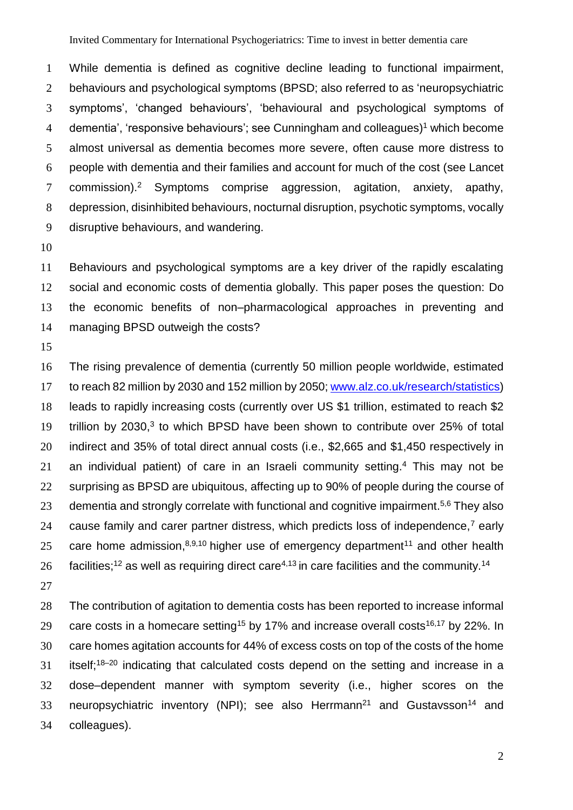While dementia is defined as cognitive decline leading to functional impairment, behaviours and psychological symptoms (BPSD; also referred to as 'neuropsychiatric symptoms', 'changed behaviours', 'behavioural and psychological symptoms of 4 dementia', 'responsive behaviours'; see Cunningham and colleagues)<sup>1</sup> which become almost universal as dementia becomes more severe, often cause more distress to people with dementia and their families and account for much of the cost (see Lancet 7 commission).<sup>2</sup> Symptoms comprise aggression, agitation, anxiety, apathy, depression, disinhibited behaviours, nocturnal disruption, psychotic symptoms, vocally disruptive behaviours, and wandering.

 Behaviours and psychological symptoms are a key driver of the rapidly escalating social and economic costs of dementia globally. This paper poses the question: Do the economic benefits of non–pharmacological approaches in preventing and managing BPSD outweigh the costs?

 The rising prevalence of dementia (currently 50 million people worldwide, estimated to reach 82 million by 2030 and 152 million by 2050; [www.alz.co.uk/research/statistics\)](http://www.alz.co.uk/research/statistics) leads to rapidly increasing costs (currently over US \$1 trillion, estimated to reach \$2 19 trillion by 2030, to which BPSD have been shown to contribute over 25% of total indirect and 35% of total direct annual costs (i.e., \$2,665 and \$1,450 respectively in 21 an individual patient) of care in an Israeli community setting.<sup>4</sup> This may not be 22 surprising as BPSD are ubiquitous, affecting up to 90% of people during the course of 23 dementia and strongly correlate with functional and cognitive impairment.<sup>5,6</sup> They also 24 cause family and carer partner distress, which predicts loss of independence,<sup>7</sup> early 25 care home admission, $8,9,10$  higher use of emergency department<sup>11</sup> and other health 26 facilities;<sup>12</sup> as well as requiring direct care<sup>4,13</sup> in care facilities and the community.<sup>14</sup>

 The contribution of agitation to dementia costs has been reported to increase informal 29 care costs in a homecare setting<sup>15</sup> by 17% and increase overall costs<sup>16,17</sup> by 22%. In care homes agitation accounts for 44% of excess costs on top of the costs of the home itself;<sup>18–20</sup> indicating that calculated costs depend on the setting and increase in a dose–dependent manner with symptom severity (i.e., higher scores on the 33 neuropsychiatric inventory (NPI); see also Herrmann<sup>21</sup> and Gustavsson<sup>14</sup> and colleagues).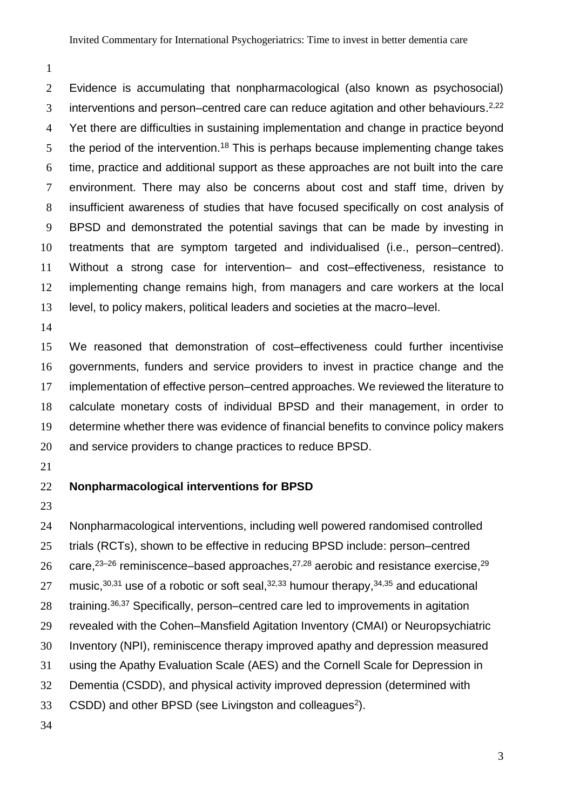Evidence is accumulating that nonpharmacological (also known as psychosocial) 3 interventions and person–centred care can reduce agitation and other behaviours.<sup>2,22</sup> Yet there are difficulties in sustaining implementation and change in practice beyond the period of the intervention.<sup>18</sup> This is perhaps because implementing change takes time, practice and additional support as these approaches are not built into the care environment. There may also be concerns about cost and staff time, driven by insufficient awareness of studies that have focused specifically on cost analysis of BPSD and demonstrated the potential savings that can be made by investing in treatments that are symptom targeted and individualised (i.e., person–centred). Without a strong case for intervention– and cost–effectiveness, resistance to implementing change remains high, from managers and care workers at the local level, to policy makers, political leaders and societies at the macro–level.

 We reasoned that demonstration of cost–effectiveness could further incentivise governments, funders and service providers to invest in practice change and the implementation of effective person–centred approaches. We reviewed the literature to calculate monetary costs of individual BPSD and their management, in order to determine whether there was evidence of financial benefits to convince policy makers and service providers to change practices to reduce BPSD.

#### **Nonpharmacological interventions for BPSD**

 Nonpharmacological interventions, including well powered randomised controlled trials (RCTs), shown to be effective in reducing BPSD include: person–centred 26 care,<sup>23–26</sup> reminiscence–based approaches,<sup>27,28</sup> aerobic and resistance exercise,<sup>29</sup> 27 music,  $30,31$  use of a robotic or soft seal,  $32,33$  humour therapy,  $34,35$  and educational  $\pm$  training.<sup>36,37</sup> Specifically, person–centred care led to improvements in agitation revealed with the Cohen–Mansfield Agitation Inventory (CMAI) or Neuropsychiatric Inventory (NPI), reminiscence therapy improved apathy and depression measured using the Apathy Evaluation Scale (AES) and the Cornell Scale for Depression in Dementia (CSDD), and physical activity improved depression (determined with 33 CSDD) and other BPSD (see Livingston and colleagues<sup>2</sup>).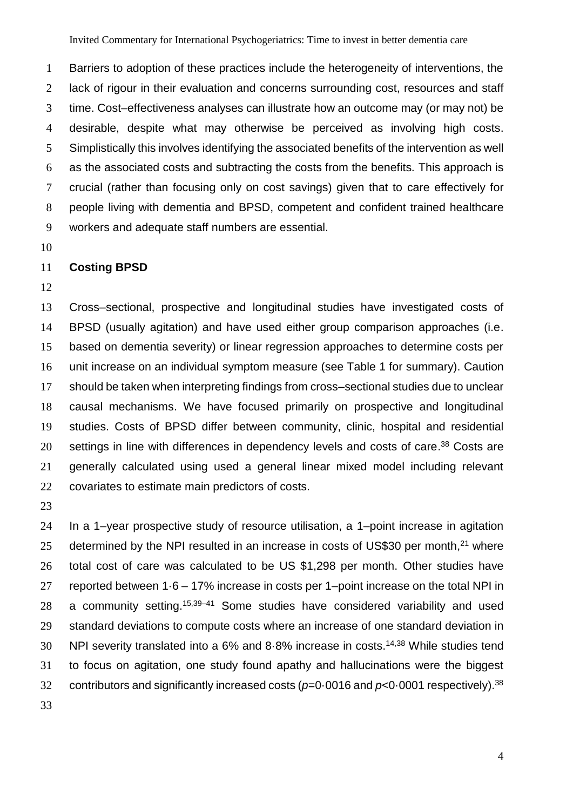Barriers to adoption of these practices include the heterogeneity of interventions, the lack of rigour in their evaluation and concerns surrounding cost, resources and staff time. Cost–effectiveness analyses can illustrate how an outcome may (or may not) be desirable, despite what may otherwise be perceived as involving high costs. Simplistically this involves identifying the associated benefits of the intervention as well as the associated costs and subtracting the costs from the benefits. This approach is crucial (rather than focusing only on cost savings) given that to care effectively for people living with dementia and BPSD, competent and confident trained healthcare workers and adequate staff numbers are essential.

#### **Costing BPSD**

 Cross–sectional, prospective and longitudinal studies have investigated costs of BPSD (usually agitation) and have used either group comparison approaches (i.e. based on dementia severity) or linear regression approaches to determine costs per unit increase on an individual symptom measure (see Table 1 for summary). Caution should be taken when interpreting findings from cross–sectional studies due to unclear causal mechanisms. We have focused primarily on prospective and longitudinal studies. Costs of BPSD differ between community, clinic, hospital and residential 20 settings in line with differences in dependency levels and costs of care.<sup>38</sup> Costs are generally calculated using used a general linear mixed model including relevant covariates to estimate main predictors of costs.

 In a 1–year prospective study of resource utilisation, a 1–point increase in agitation 25 determined by the NPI resulted in an increase in costs of US\$30 per month, $^{21}$  where total cost of care was calculated to be US \$1,298 per month. Other studies have reported between 1·6 – 17% increase in costs per 1–point increase on the total NPI in 28 a community setting.  $15,39-41$  Some studies have considered variability and used standard deviations to compute costs where an increase of one standard deviation in 30 NPI severity translated into a  $6\%$  and  $8.8\%$  increase in costs.<sup>14,38</sup> While studies tend to focus on agitation, one study found apathy and hallucinations were the biggest 32 contributors and significantly increased costs (p=0.0016 and p<0.0001 respectively).<sup>38</sup>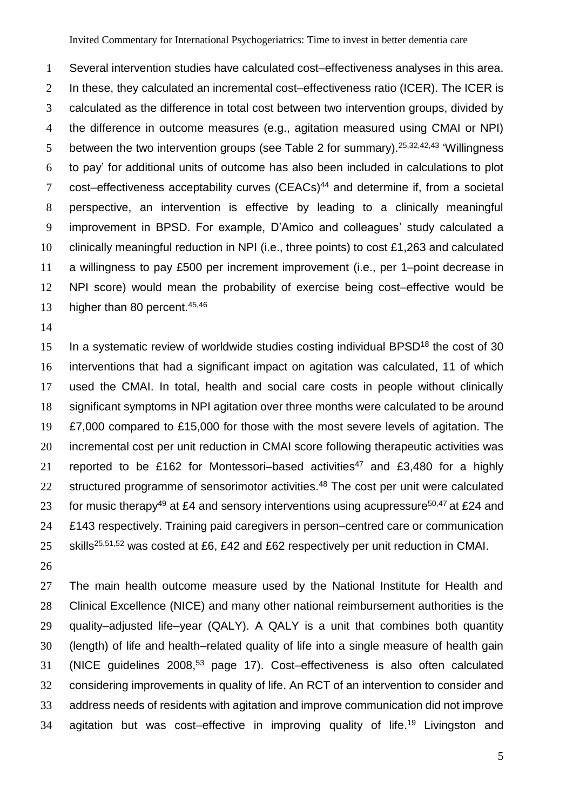Several intervention studies have calculated cost–effectiveness analyses in this area. 2 In these, they calculated an incremental cost–effectiveness ratio (ICER). The ICER is calculated as the difference in total cost between two intervention groups, divided by the difference in outcome measures (e.g., agitation measured using CMAI or NPI) 5 between the two intervention groups (see Table 2 for summary).<sup>25,32,42,43</sup> 'Willingness to pay' for additional units of outcome has also been included in calculations to plot 7 cost–effectiveness acceptability curves (CEACs)<sup>44</sup> and determine if, from a societal perspective, an intervention is effective by leading to a clinically meaningful improvement in BPSD. For example, D'Amico and colleagues' study calculated a clinically meaningful reduction in NPI (i.e., three points) to cost £1,263 and calculated a willingness to pay £500 per increment improvement (i.e., per 1–point decrease in NPI score) would mean the probability of exercise being cost–effective would be 13 higher than 80 percent.<sup>45,46</sup>

 In a systematic review of worldwide studies costing individual BPSD<sup>18</sup> the cost of 30 interventions that had a significant impact on agitation was calculated, 11 of which used the CMAI. In total, health and social care costs in people without clinically significant symptoms in NPI agitation over three months were calculated to be around £7,000 compared to £15,000 for those with the most severe levels of agitation. The incremental cost per unit reduction in CMAI score following therapeutic activities was 21 reported to be £162 for Montessori–based activities<sup>47</sup> and £3,480 for a highly 22 structured programme of sensorimotor activities.<sup>48</sup> The cost per unit were calculated 23 for music therapy<sup>49</sup> at £4 and sensory interventions using acupressure<sup>50,47</sup> at £24 and £143 respectively. Training paid caregivers in person–centred care or communication 25 skills<sup>25,51,52</sup> was costed at £6, £42 and £62 respectively per unit reduction in CMAI.

27 The main health outcome measure used by the National Institute for Health and 28 Clinical Excellence (NICE) and many other national reimbursement authorities is the quality–adjusted life–year (QALY). A QALY is a unit that combines both quantity (length) of life and health–related quality of life into a single measure of health gain 31 (NICE guidelines 2008,<sup>53</sup> page 17). Cost–effectiveness is also often calculated considering improvements in quality of life. An RCT of an intervention to consider and address needs of residents with agitation and improve communication did not improve 34 agitation but was cost–effective in improving quality of life.<sup>19</sup> Livingston and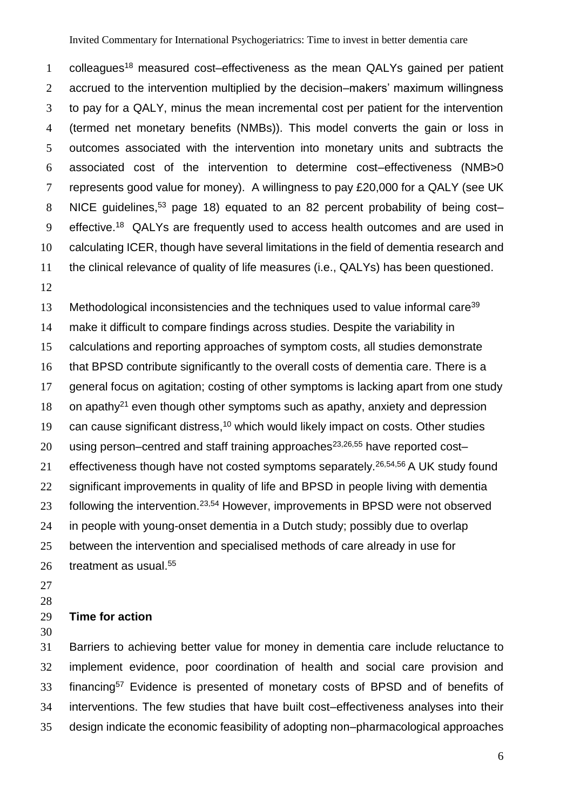1 colleagues<sup>18</sup> measured cost–effectiveness as the mean QALYs gained per patient accrued to the intervention multiplied by the decision–makers' maximum willingness to pay for a QALY, minus the mean incremental cost per patient for the intervention (termed net monetary benefits (NMBs)). This model converts the gain or loss in outcomes associated with the intervention into monetary units and subtracts the associated cost of the intervention to determine cost–effectiveness (NMB>0 represents good value for money). A willingness to pay £20,000 for a QALY (see UK 8 NICE guidelines,<sup>53</sup> page 18) equated to an 82 percent probability of being cost-9 effective.<sup>18</sup> QALYs are frequently used to access health outcomes and are used in calculating ICER, though have several limitations in the field of dementia research and the clinical relevance of quality of life measures (i.e., QALYs) has been questioned.

13 Methodological inconsistencies and the techniques used to value informal care<sup>39</sup> make it difficult to compare findings across studies. Despite the variability in calculations and reporting approaches of symptom costs, all studies demonstrate that BPSD contribute significantly to the overall costs of dementia care. There is a general focus on agitation; costing of other symptoms is lacking apart from one study 18 on apathy<sup>21</sup> even though other symptoms such as apathy, anxiety and depression 19 can cause significant distress,<sup>10</sup> which would likely impact on costs. Other studies 20 using person–centred and staff training approaches $23,26,55$  have reported cost– 21 effectiveness though have not costed symptoms separately.<sup>26,54,56</sup> A UK study found 22 significant improvements in quality of life and BPSD in people living with dementia 23 following the intervention.<sup>23,54</sup> However, improvements in BPSD were not observed in people with young-onset dementia in a Dutch study; possibly due to overlap between the intervention and specialised methods of care already in use for 26 treatment as usual.<sup>55</sup>

#### **Time for action**

 Barriers to achieving better value for money in dementia care include reluctance to implement evidence, poor coordination of health and social care provision and 33 financing<sup>57</sup> Evidence is presented of monetary costs of BPSD and of benefits of interventions. The few studies that have built cost–effectiveness analyses into their design indicate the economic feasibility of adopting non–pharmacological approaches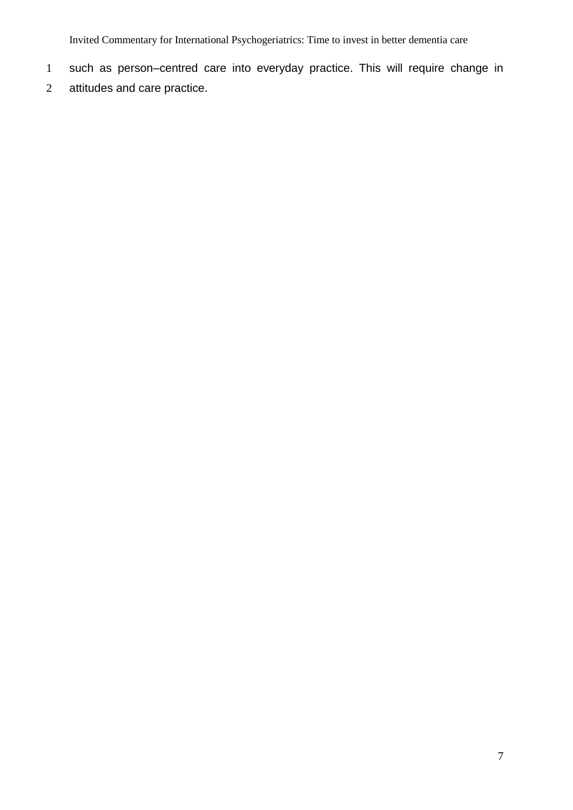Invited Commentary for International Psychogeriatrics: Time to invest in better dementia care

- such as person–centred care into everyday practice. This will require change in
- attitudes and care practice.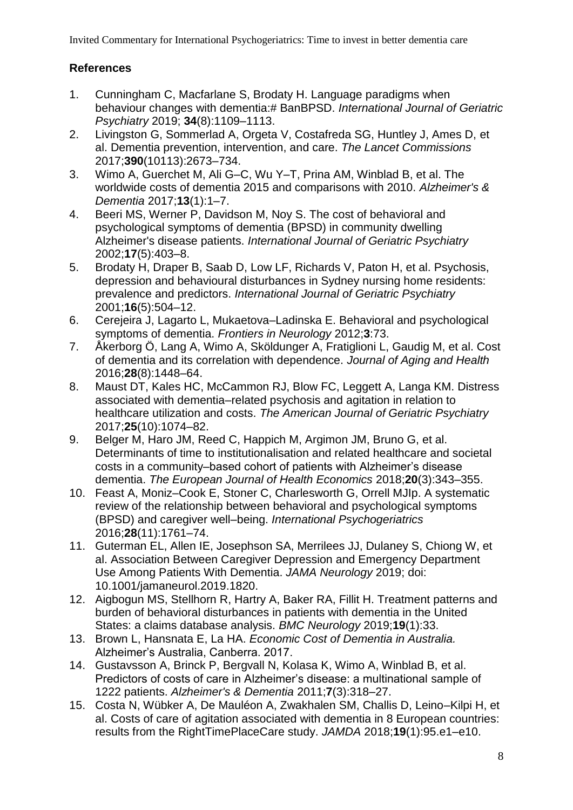## **References**

- 1. Cunningham C, Macfarlane S, Brodaty H. Language paradigms when behaviour changes with dementia:# BanBPSD. *International Journal of Geriatric Psychiatry* 2019; **34**(8):1109–1113.
- 2. Livingston G, Sommerlad A, Orgeta V, Costafreda SG, Huntley J, Ames D, et al. Dementia prevention, intervention, and care. *The Lancet Commissions* 2017;**390**(10113):2673–734.
- 3. Wimo A, Guerchet M, Ali G–C, Wu Y–T, Prina AM, Winblad B, et al. The worldwide costs of dementia 2015 and comparisons with 2010. *Alzheimer's & Dementia* 2017;**13**(1):1–7.
- 4. Beeri MS, Werner P, Davidson M, Noy S. The cost of behavioral and psychological symptoms of dementia (BPSD) in community dwelling Alzheimer's disease patients. *International Journal of Geriatric Psychiatry* 2002;**17**(5):403–8.
- 5. Brodaty H, Draper B, Saab D, Low LF, Richards V, Paton H, et al. Psychosis, depression and behavioural disturbances in Sydney nursing home residents: prevalence and predictors. *International Journal of Geriatric Psychiatry* 2001;**16**(5):504–12.
- 6. Cerejeira J, Lagarto L, Mukaetova–Ladinska E. Behavioral and psychological symptoms of dementia. *Frontiers in Neurology* 2012;**3**:73.
- 7. Åkerborg Ö, Lang A, Wimo A, Sköldunger A, Fratiglioni L, Gaudig M, et al. Cost of dementia and its correlation with dependence. *Journal of Aging and Health* 2016;**28**(8):1448–64.
- 8. Maust DT, Kales HC, McCammon RJ, Blow FC, Leggett A, Langa KM. Distress associated with dementia–related psychosis and agitation in relation to healthcare utilization and costs. *The American Journal of Geriatric Psychiatry* 2017;**25**(10):1074–82.
- 9. Belger M, Haro JM, Reed C, Happich M, Argimon JM, Bruno G, et al. Determinants of time to institutionalisation and related healthcare and societal costs in a community–based cohort of patients with Alzheimer's disease dementia. *The European Journal of Health Economics* 2018;**20**(3):343–355.
- 10. Feast A, Moniz–Cook E, Stoner C, Charlesworth G, Orrell MJIp. A systematic review of the relationship between behavioral and psychological symptoms (BPSD) and caregiver well–being. *International Psychogeriatrics* 2016;**28**(11):1761–74.
- 11. Guterman EL, Allen IE, Josephson SA, Merrilees JJ, Dulaney S, Chiong W, et al. Association Between Caregiver Depression and Emergency Department Use Among Patients With Dementia. *JAMA Neurology* 2019; doi: 10.1001/jamaneurol.2019.1820.
- 12. Aigbogun MS, Stellhorn R, Hartry A, Baker RA, Fillit H. Treatment patterns and burden of behavioral disturbances in patients with dementia in the United States: a claims database analysis. *BMC Neurology* 2019;**19**(1):33.
- 13. Brown L, Hansnata E, La HA. *Economic Cost of Dementia in Australia.* Alzheimer's Australia, Canberra. 2017.
- 14. Gustavsson A, Brinck P, Bergvall N, Kolasa K, Wimo A, Winblad B, et al. Predictors of costs of care in Alzheimer's disease: a multinational sample of 1222 patients. *Alzheimer's & Dementia* 2011;**7**(3):318–27.
- 15. Costa N, Wübker A, De Mauléon A, Zwakhalen SM, Challis D, Leino–Kilpi H, et al. Costs of care of agitation associated with dementia in 8 European countries: results from the RightTimePlaceCare study. *JAMDA* 2018;**19**(1):95.e1–e10.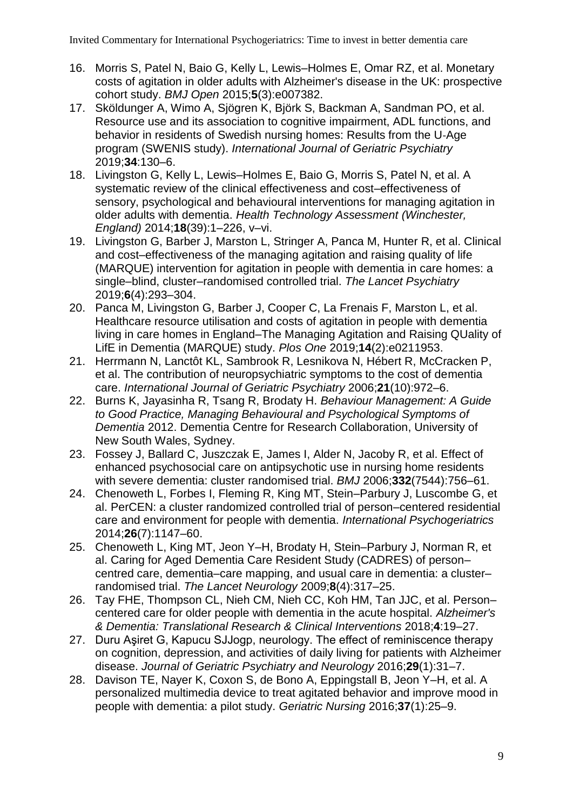- 16. Morris S, Patel N, Baio G, Kelly L, Lewis–Holmes E, Omar RZ, et al. Monetary costs of agitation in older adults with Alzheimer's disease in the UK: prospective cohort study. *BMJ Open* 2015;**5**(3):e007382.
- 17. Sköldunger A, Wimo A, Sjögren K, Björk S, Backman A, Sandman PO, et al. Resource use and its association to cognitive impairment, ADL functions, and behavior in residents of Swedish nursing homes: Results from the U‐Age program (SWENIS study). *International Journal of Geriatric Psychiatry* 2019;**34**:130–6.
- 18. Livingston G, Kelly L, Lewis–Holmes E, Baio G, Morris S, Patel N, et al. A systematic review of the clinical effectiveness and cost–effectiveness of sensory, psychological and behavioural interventions for managing agitation in older adults with dementia. *Health Technology Assessment (Winchester, England)* 2014;**18**(39):1–226, v–vi.
- 19. Livingston G, Barber J, Marston L, Stringer A, Panca M, Hunter R, et al. Clinical and cost–effectiveness of the managing agitation and raising quality of life (MARQUE) intervention for agitation in people with dementia in care homes: a single–blind, cluster–randomised controlled trial. *The Lancet Psychiatry* 2019;**6**(4):293–304.
- 20. Panca M, Livingston G, Barber J, Cooper C, La Frenais F, Marston L, et al. Healthcare resource utilisation and costs of agitation in people with dementia living in care homes in England–The Managing Agitation and Raising QUality of LifE in Dementia (MARQUE) study. *Plos One* 2019;**14**(2):e0211953.
- 21. Herrmann N, Lanctôt KL, Sambrook R, Lesnikova N, Hébert R, McCracken P, et al. The contribution of neuropsychiatric symptoms to the cost of dementia care. *International Journal of Geriatric Psychiatry* 2006;**21**(10):972–6.
- 22. Burns K, Jayasinha R, Tsang R, Brodaty H. *Behaviour Management: A Guide to Good Practice, Managing Behavioural and Psychological Symptoms of Dementia* 2012. Dementia Centre for Research Collaboration, University of New South Wales, Sydney.
- 23. Fossey J, Ballard C, Juszczak E, James I, Alder N, Jacoby R, et al. Effect of enhanced psychosocial care on antipsychotic use in nursing home residents with severe dementia: cluster randomised trial. *BMJ* 2006;**332**(7544):756–61.
- 24. Chenoweth L, Forbes I, Fleming R, King MT, Stein–Parbury J, Luscombe G, et al. PerCEN: a cluster randomized controlled trial of person–centered residential care and environment for people with dementia. *International Psychogeriatrics* 2014;**26**(7):1147–60.
- 25. Chenoweth L, King MT, Jeon Y–H, Brodaty H, Stein–Parbury J, Norman R, et al. Caring for Aged Dementia Care Resident Study (CADRES) of person– centred care, dementia–care mapping, and usual care in dementia: a cluster– randomised trial. *The Lancet Neurology* 2009;**8**(4):317–25.
- 26. Tay FHE, Thompson CL, Nieh CM, Nieh CC, Koh HM, Tan JJC, et al. Person– centered care for older people with dementia in the acute hospital. *Alzheimer's & Dementia: Translational Research & Clinical Interventions* 2018;**4**:19–27.
- 27. Duru Aşiret G, Kapucu SJJogp, neurology. The effect of reminiscence therapy on cognition, depression, and activities of daily living for patients with Alzheimer disease. *Journal of Geriatric Psychiatry and Neurology* 2016;**29**(1):31–7.
- 28. Davison TE, Nayer K, Coxon S, de Bono A, Eppingstall B, Jeon Y–H, et al. A personalized multimedia device to treat agitated behavior and improve mood in people with dementia: a pilot study. *Geriatric Nursing* 2016;**37**(1):25–9.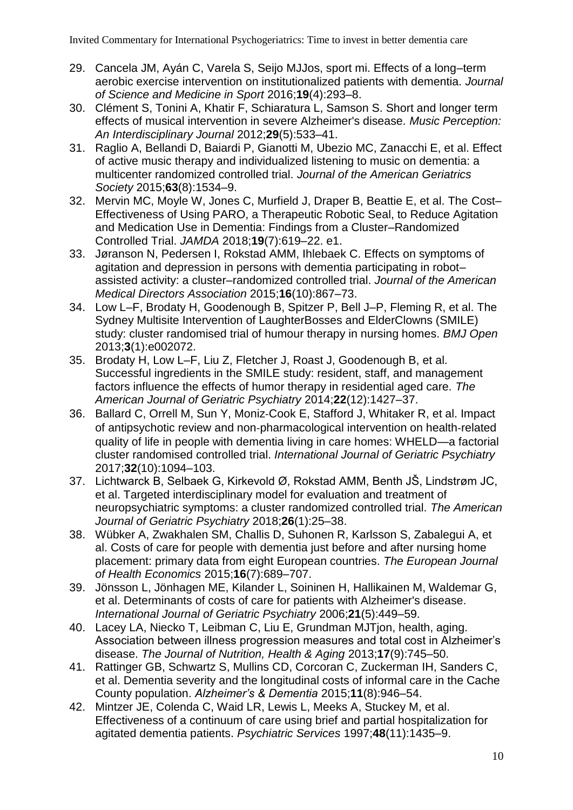- 29. Cancela JM, Ayán C, Varela S, Seijo MJJos, sport mi. Effects of a long–term aerobic exercise intervention on institutionalized patients with dementia. *Journal of Science and Medicine in Sport* 2016;**19**(4):293–8.
- 30. Clément S, Tonini A, Khatir F, Schiaratura L, Samson S. Short and longer term effects of musical intervention in severe Alzheimer's disease. *Music Perception: An Interdisciplinary Journal* 2012;**29**(5):533–41.
- 31. Raglio A, Bellandi D, Baiardi P, Gianotti M, Ubezio MC, Zanacchi E, et al. Effect of active music therapy and individualized listening to music on dementia: a multicenter randomized controlled trial. *Journal of the American Geriatrics Society* 2015;**63**(8):1534–9.
- 32. Mervin MC, Moyle W, Jones C, Murfield J, Draper B, Beattie E, et al. The Cost– Effectiveness of Using PARO, a Therapeutic Robotic Seal, to Reduce Agitation and Medication Use in Dementia: Findings from a Cluster–Randomized Controlled Trial. *JAMDA* 2018;**19**(7):619–22. e1.
- 33. Jøranson N, Pedersen I, Rokstad AMM, Ihlebaek C. Effects on symptoms of agitation and depression in persons with dementia participating in robot– assisted activity: a cluster–randomized controlled trial. *Journal of the American Medical Directors Association* 2015;**16**(10):867–73.
- 34. Low L–F, Brodaty H, Goodenough B, Spitzer P, Bell J–P, Fleming R, et al. The Sydney Multisite Intervention of LaughterBosses and ElderClowns (SMILE) study: cluster randomised trial of humour therapy in nursing homes. *BMJ Open* 2013;**3**(1):e002072.
- 35. Brodaty H, Low L–F, Liu Z, Fletcher J, Roast J, Goodenough B, et al. Successful ingredients in the SMILE study: resident, staff, and management factors influence the effects of humor therapy in residential aged care. *The American Journal of Geriatric Psychiatry* 2014;**22**(12):1427–37.
- 36. Ballard C, Orrell M, Sun Y, Moniz‐Cook E, Stafford J, Whitaker R, et al. Impact of antipsychotic review and non‐pharmacological intervention on health‐related quality of life in people with dementia living in care homes: WHELD—a factorial cluster randomised controlled trial. *International Journal of Geriatric Psychiatry* 2017;**32**(10):1094–103.
- 37. Lichtwarck B, Selbaek G, Kirkevold Ø, Rokstad AMM, Benth JŠ, Lindstrøm JC, et al. Targeted interdisciplinary model for evaluation and treatment of neuropsychiatric symptoms: a cluster randomized controlled trial. *The American Journal of Geriatric Psychiatry* 2018;**26**(1):25–38.
- 38. Wübker A, Zwakhalen SM, Challis D, Suhonen R, Karlsson S, Zabalegui A, et al. Costs of care for people with dementia just before and after nursing home placement: primary data from eight European countries. *The European Journal of Health Economics* 2015;**16**(7):689–707.
- 39. Jönsson L, Jönhagen ME, Kilander L, Soininen H, Hallikainen M, Waldemar G, et al. Determinants of costs of care for patients with Alzheimer's disease. *International Journal of Geriatric Psychiatry* 2006;**21**(5):449–59.
- 40. Lacey LA, Niecko T, Leibman C, Liu E, Grundman MJTjon, health, aging. Association between illness progression measures and total cost in Alzheimer's disease. *The Journal of Nutrition, Health & Aging* 2013;**17**(9):745–50.
- 41. Rattinger GB, Schwartz S, Mullins CD, Corcoran C, Zuckerman IH, Sanders C, et al. Dementia severity and the longitudinal costs of informal care in the Cache County population. *Alzheimer's & Dementia* 2015;**11**(8):946–54.
- 42. Mintzer JE, Colenda C, Waid LR, Lewis L, Meeks A, Stuckey M, et al. Effectiveness of a continuum of care using brief and partial hospitalization for agitated dementia patients. *Psychiatric Services* 1997;**48**(11):1435–9.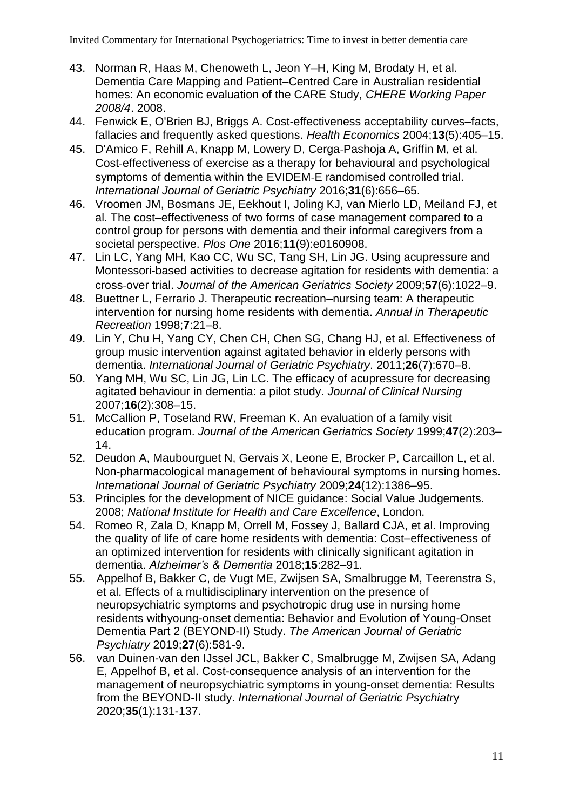- 43. Norman R, Haas M, Chenoweth L, Jeon Y–H, King M, Brodaty H, et al. Dementia Care Mapping and Patient–Centred Care in Australian residential homes: An economic evaluation of the CARE Study, *CHERE Working Paper 2008/4*. 2008.
- 44. Fenwick E, O'Brien BJ, Briggs A. Cost-effectiveness acceptability curves–facts, fallacies and frequently asked questions. *Health Economics* 2004;**13**(5):405–15.
- 45. D'Amico F, Rehill A, Knapp M, Lowery D, Cerga‐Pashoja A, Griffin M, et al. Cost‐effectiveness of exercise as a therapy for behavioural and psychological symptoms of dementia within the EVIDEM‐E randomised controlled trial. *International Journal of Geriatric Psychiatry* 2016;**31**(6):656–65.
- 46. Vroomen JM, Bosmans JE, Eekhout I, Joling KJ, van Mierlo LD, Meiland FJ, et al. The cost–effectiveness of two forms of case management compared to a control group for persons with dementia and their informal caregivers from a societal perspective. *Plos One* 2016;**11**(9):e0160908.
- 47. Lin LC, Yang MH, Kao CC, Wu SC, Tang SH, Lin JG. Using acupressure and Montessori‐based activities to decrease agitation for residents with dementia: a cross‐over trial. *Journal of the American Geriatrics Society* 2009;**57**(6):1022–9.
- 48. Buettner L, Ferrario J. Therapeutic recreation–nursing team: A therapeutic intervention for nursing home residents with dementia. *Annual in Therapeutic Recreation* 1998;**7**:21–8.
- 49. Lin Y, Chu H, Yang CY, Chen CH, Chen SG, Chang HJ, et al. Effectiveness of group music intervention against agitated behavior in elderly persons with dementia. *International Journal of Geriatric Psychiatry*. 2011;**26**(7):670–8.
- 50. Yang MH, Wu SC, Lin JG, Lin LC. The efficacy of acupressure for decreasing agitated behaviour in dementia: a pilot study. *Journal of Clinical Nursing* 2007;**16**(2):308–15.
- 51. McCallion P, Toseland RW, Freeman K. An evaluation of a family visit education program. *Journal of the American Geriatrics Society* 1999;**47**(2):203– 14.
- 52. Deudon A, Maubourguet N, Gervais X, Leone E, Brocker P, Carcaillon L, et al. Non-pharmacological management of behavioural symptoms in nursing homes. *International Journal of Geriatric Psychiatry* 2009;**24**(12):1386–95.
- 53. Principles for the development of NICE guidance: Social Value Judgements. 2008; *National Institute for Health and Care Excellence*, London.
- 54. Romeo R, Zala D, Knapp M, Orrell M, Fossey J, Ballard CJA, et al. Improving the quality of life of care home residents with dementia: Cost–effectiveness of an optimized intervention for residents with clinically significant agitation in dementia. *Alzheimer's & Dementia* 2018;**15**:282–91.
- 55. Appelhof B, Bakker C, de Vugt ME, Zwijsen SA, Smalbrugge M, Teerenstra S, et al. Effects of a multidisciplinary intervention on the presence of neuropsychiatric symptoms and psychotropic drug use in nursing home residents withyoung-onset dementia: Behavior and Evolution of Young-Onset Dementia Part 2 (BEYOND-II) Study. *The American Journal of Geriatric Psychiatry* 2019;**27**(6):581-9.
- 56. van Duinen-van den IJssel JCL, Bakker C, Smalbrugge M, Zwijsen SA, Adang E, Appelhof B, et al. Cost-consequence analysis of an intervention for the management of neuropsychiatric symptoms in young-onset dementia: Results from the BEYOND-II study. *International Journal of Geriatric Psychiatr*y 2020;**35**(1):131-137.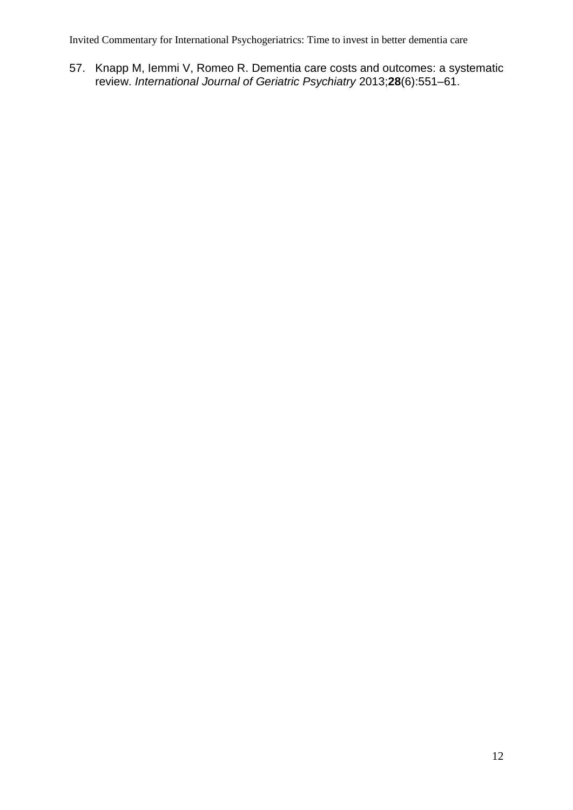Invited Commentary for International Psychogeriatrics: Time to invest in better dementia care

57. Knapp M, Iemmi V, Romeo R. Dementia care costs and outcomes: a systematic review. *International Journal of Geriatric Psychiatry* 2013;**28**(6):551–61.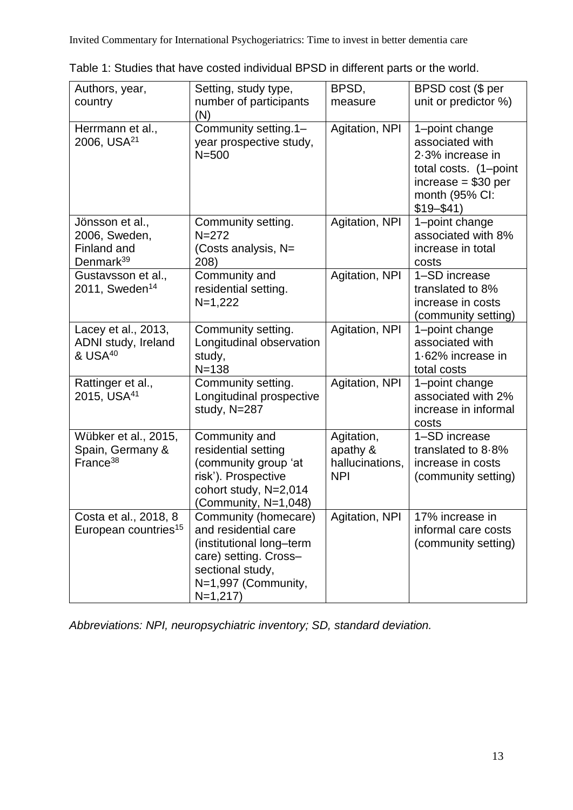| Authors, year,<br>country                                                | Setting, study type,<br>number of participants<br>(N)                                                                                                     | BPSD,<br>measure                                        | BPSD cost (\$ per<br>unit or predictor %)                                                                                                 |
|--------------------------------------------------------------------------|-----------------------------------------------------------------------------------------------------------------------------------------------------------|---------------------------------------------------------|-------------------------------------------------------------------------------------------------------------------------------------------|
| Herrmann et al.,<br>2006, USA <sup>21</sup>                              | Community setting.1-<br>year prospective study,<br>$N = 500$                                                                                              | Agitation, NPI                                          | 1-point change<br>associated with<br>2.3% increase in<br>total costs. (1-point<br>$increase = $30 per$<br>month (95% CI:<br>$$19 - $41$ ) |
| Jönsson et al.,<br>2006, Sweden,<br>Finland and<br>Denmark <sup>39</sup> | Community setting.<br>$N = 272$<br>(Costs analysis, N=<br>208)                                                                                            | Agitation, NPI                                          | 1-point change<br>associated with 8%<br>increase in total<br>costs                                                                        |
| Gustavsson et al.,<br>2011, Sweden <sup>14</sup>                         | Community and<br>residential setting.<br>$N=1,222$                                                                                                        | Agitation, NPI                                          | 1-SD increase<br>translated to 8%<br>increase in costs<br>(community setting)                                                             |
| Lacey et al., 2013,<br>ADNI study, Ireland<br>& USA <sup>40</sup>        | Community setting.<br>Longitudinal observation<br>study,<br>$N = 138$                                                                                     | Agitation, NPI                                          | 1-point change<br>associated with<br>1.62% increase in<br>total costs                                                                     |
| Rattinger et al.,<br>2015, USA <sup>41</sup>                             | Community setting.<br>Longitudinal prospective<br>study, N=287                                                                                            | Agitation, NPI                                          | 1-point change<br>associated with 2%<br>increase in informal<br>costs                                                                     |
| Wübker et al., 2015,<br>Spain, Germany &<br>France <sup>38</sup>         | Community and<br>residential setting<br>(community group 'at<br>risk'). Prospective<br>cohort study, N=2,014<br>(Community, N=1,048)                      | Agitation,<br>apathy &<br>hallucinations,<br><b>NPI</b> | 1-SD increase<br>translated to 8.8%<br>increase in costs<br>(community setting)                                                           |
| Costa et al., 2018, 8<br>European countries <sup>15</sup>                | Community (homecare)<br>and residential care<br>(institutional long-term<br>care) setting. Cross-<br>sectional study,<br>N=1,997 (Community,<br>$N=1,217$ | Agitation, NPI                                          | 17% increase in<br>informal care costs<br>(community setting)                                                                             |

Table 1: Studies that have costed individual BPSD in different parts or the world.

*Abbreviations: NPI, neuropsychiatric inventory; SD, standard deviation.*